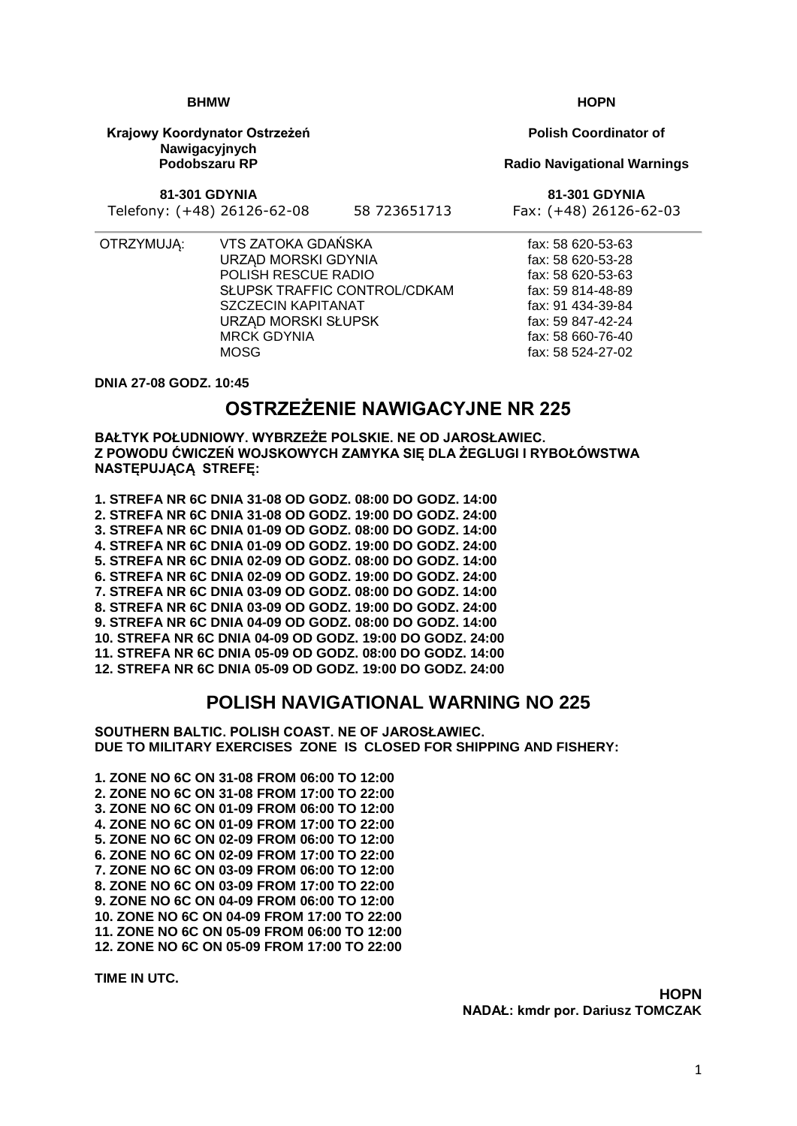**HOPN**

1

**BHMW**

**Krajowy Koordynator Ostrzeżeń Nawigacyjnych Podobszaru RP**

**81-301 GDYNIA**

Telefony: (+48) 26126-62-08 58 723651713 Fax: (+48) 26126-62-03

- 
- OTRZYMUJĄ: VTS ZATOKA GDAŃSKA URZĄD MORSKI GDYNIA POLISH RESCUE RADIO SŁUPSK TRAFFIC CONTROL/CDKAM SZCZECIN KAPITANAT URZĄD MORSKI SŁUPSK MRCK GDYNIA MOSG

**DNIA 27-08 GODZ. 10:45**

# **OSTRZEŻENIE NAWIGACYJNE NR 225**

**BAŁTYK POŁUDNIOWY. WYBRZEŻE POLSKIE. NE OD JAROSŁAWIEC. Z POWODU ĆWICZEŃ WOJSKOWYCH ZAMYKA SIĘ DLA ŻEGLUGI I RYBOŁÓWSTWA NASTĘPUJĄCĄ STREFĘ:**

**1. STREFA NR 6C DNIA 31-08 OD GODZ. 08:00 DO GODZ. 14:00 2. STREFA NR 6C DNIA 31-08 OD GODZ. 19:00 DO GODZ. 24:00 3. STREFA NR 6C DNIA 01-09 OD GODZ. 08:00 DO GODZ. 14:00 4. STREFA NR 6C DNIA 01-09 OD GODZ. 19:00 DO GODZ. 24:00 5. STREFA NR 6C DNIA 02-09 OD GODZ. 08:00 DO GODZ. 14:00 6. STREFA NR 6C DNIA 02-09 OD GODZ. 19:00 DO GODZ. 24:00 7. STREFA NR 6C DNIA 03-09 OD GODZ. 08:00 DO GODZ. 14:00 8. STREFA NR 6C DNIA 03-09 OD GODZ. 19:00 DO GODZ. 24:00 9. STREFA NR 6C DNIA 04-09 OD GODZ. 08:00 DO GODZ. 14:00 10. STREFA NR 6C DNIA 04-09 OD GODZ. 19:00 DO GODZ. 24:00 11. STREFA NR 6C DNIA 05-09 OD GODZ. 08:00 DO GODZ. 14:00 12. STREFA NR 6C DNIA 05-09 OD GODZ. 19:00 DO GODZ. 24:00**

## **POLISH NAVIGATIONAL WARNING NO 225**

**SOUTHERN BALTIC. POLISH COAST. NE OF JAROSŁAWIEC. DUE TO MILITARY EXERCISES ZONE IS CLOSED FOR SHIPPING AND FISHERY:**

**1. ZONE NO 6C ON 31-08 FROM 06:00 TO 12:00 2. ZONE NO 6C ON 31-08 FROM 17:00 TO 22:00 3. ZONE NO 6C ON 01-09 FROM 06:00 TO 12:00 4. ZONE NO 6C ON 01-09 FROM 17:00 TO 22:00 5. ZONE NO 6C ON 02-09 FROM 06:00 TO 12:00 6. ZONE NO 6C ON 02-09 FROM 17:00 TO 22:00 7. ZONE NO 6C ON 03-09 FROM 06:00 TO 12:00 8. ZONE NO 6C ON 03-09 FROM 17:00 TO 22:00 9. ZONE NO 6C ON 04-09 FROM 06:00 TO 12:00 10. ZONE NO 6C ON 04-09 FROM 17:00 TO 22:00 11. ZONE NO 6C ON 05-09 FROM 06:00 TO 12:00 12. ZONE NO 6C ON 05-09 FROM 17:00 TO 22:00**

**TIME IN UTC.**

**Polish Coordinator of**

#### **Radio Navigational Warnings**

**81-301 GDYNIA**

fax: 58 620-53-63 fax: 58 620-53-28 fax: 58 620-53-63 fax: 59 814-48-89 fax: 91 434-39-84 fax: 59 847-42-24 fax: 58 660-76-40 fax: 58 524-27-02

**HOPN**